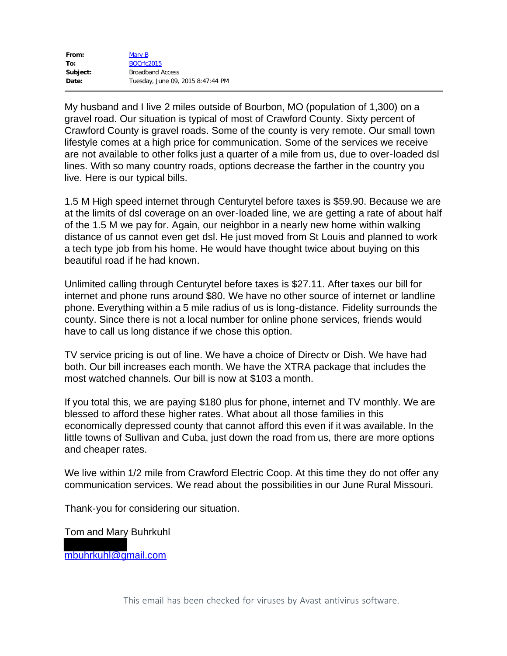| From:    | Mary B                            |
|----------|-----------------------------------|
| To:      | BOCrfc2015                        |
| Subject: | <b>Broadband Access</b>           |
| Date:    | Tuesday, June 09, 2015 8:47:44 PM |

My husband and I live 2 miles outside of Bourbon, MO (population of 1,300) on a gravel road. Our situation is typical of most of Crawford County. Sixty percent of Crawford County is gravel roads. Some of the county is very remote. Our small town lifestyle comes at a high price for communication. Some of the services we receive are not available to other folks just a quarter of a mile from us, due to over-loaded dsl lines. With so many country roads, options decrease the farther in the country you live. Here is our typical bills.

1.5 M High speed internet through Centurytel before taxes is \$59.90. Because we are at the limits of dsl coverage on an over-loaded line, we are getting a rate of about half of the 1.5 M we pay for. Again, our neighbor in a nearly new home within walking distance of us cannot even get dsl. He just moved from St Louis and planned to work a tech type job from his home. He would have thought twice about buying on this beautiful road if he had known.

Unlimited calling through Centurytel before taxes is \$27.11. After taxes our bill for internet and phone runs around \$80. We have no other source of internet or landline phone. Everything within a 5 mile radius of us is long-distance. Fidelity surrounds the county. Since there is not a local number for online phone services, friends would have to call us long distance if we chose this option.

TV service pricing is out of line. We have a choice of Directv or Dish. We have had both. Our bill increases each month. We have the XTRA package that includes the most watched channels. Our bill is now at \$103 a month.

If you total this, we are paying \$180 plus for phone, internet and TV monthly. We are blessed to afford these higher rates. What about all those families in this economically depressed county that cannot afford this even if it was available. In the little towns of Sullivan and Cuba, just down the road from us, there are more options and cheaper rates.

We live within 1/2 mile from Crawford Electric Coop. At this time they do not offer any communication services. We read about the possibilities in our June Rural Missouri.

Thank-you for considering our situation.

Tom and Mary Buhrkuhl

mbuhrkuhl@gmail.com